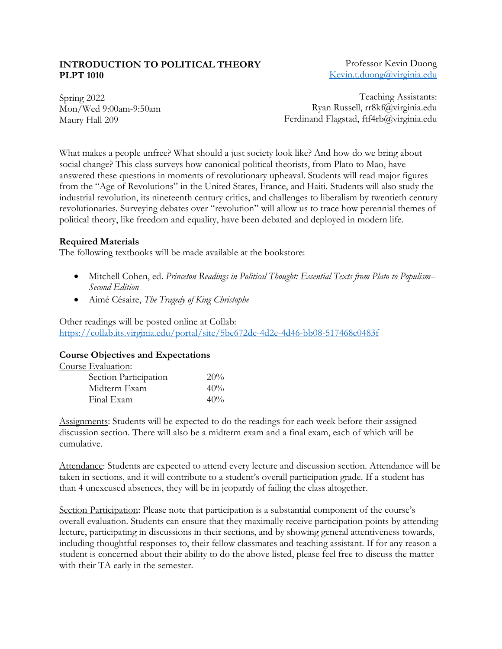### **INTRODUCTION TO POLITICAL THEORY PLPT 1010**

Professor Kevin Duong Kevin.t.duong@virginia.edu

Spring 2022 Mon/Wed 9:00am-9:50am Maury Hall 209

Teaching Assistants: Ryan Russell, rr8kf@virginia.edu Ferdinand Flagstad, ftf4rb@virginia.edu

What makes a people unfree? What should a just society look like? And how do we bring about social change? This class surveys how canonical political theorists, from Plato to Mao, have answered these questions in moments of revolutionary upheaval. Students will read major figures from the "Age of Revolutions" in the United States, France, and Haiti. Students will also study the industrial revolution, its nineteenth century critics, and challenges to liberalism by twentieth century revolutionaries. Surveying debates over "revolution" will allow us to trace how perennial themes of political theory, like freedom and equality, have been debated and deployed in modern life.

## **Required Materials**

The following textbooks will be made available at the bookstore:

- Mitchell Cohen, ed. *Princeton Readings in Political Thought: Essential Texts from Plato to Populism-- Second Edition*
- Aimé Césaire, *The Tragedy of King Christophe*

Other readings will be posted online at Collab: https://collab.its.virginia.edu/portal/site/5be672dc-4d2e-4d46-bb08-517468c0483f

### **Course Objectives and Expectations**

| Course Evaluation:    |     |
|-----------------------|-----|
| Section Participation | 20% |
| Midterm Exam          | 40% |
| Final Exam            | 40% |

Assignments: Students will be expected to do the readings for each week before their assigned discussion section. There will also be a midterm exam and a final exam, each of which will be cumulative.

Attendance: Students are expected to attend every lecture and discussion section. Attendance will be taken in sections, and it will contribute to a student's overall participation grade. If a student has than 4 unexcused absences, they will be in jeopardy of failing the class altogether.

Section Participation: Please note that participation is a substantial component of the course's overall evaluation. Students can ensure that they maximally receive participation points by attending lecture, participating in discussions in their sections, and by showing general attentiveness towards, including thoughtful responses to, their fellow classmates and teaching assistant. If for any reason a student is concerned about their ability to do the above listed, please feel free to discuss the matter with their TA early in the semester.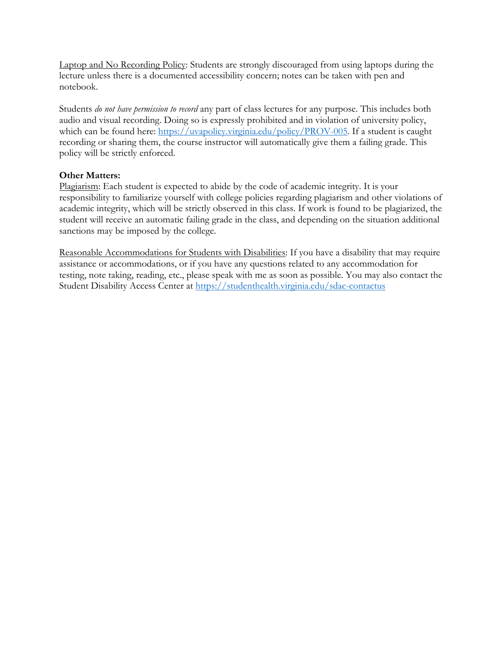Laptop and No Recording Policy: Students are strongly discouraged from using laptops during the lecture unless there is a documented accessibility concern; notes can be taken with pen and notebook.

Students *do not have permission to record* any part of class lectures for any purpose. This includes both audio and visual recording. Doing so is expressly prohibited and in violation of university policy, which can be found here: https://uvapolicy.virginia.edu/policy/PROV-005. If a student is caught recording or sharing them, the course instructor will automatically give them a failing grade. This policy will be strictly enforced.

## **Other Matters:**

Plagiarism: Each student is expected to abide by the code of academic integrity. It is your responsibility to familiarize yourself with college policies regarding plagiarism and other violations of academic integrity, which will be strictly observed in this class. If work is found to be plagiarized, the student will receive an automatic failing grade in the class, and depending on the situation additional sanctions may be imposed by the college.

Reasonable Accommodations for Students with Disabilities: If you have a disability that may require assistance or accommodations, or if you have any questions related to any accommodation for testing, note taking, reading, etc., please speak with me as soon as possible. You may also contact the Student Disability Access Center at https://studenthealth.virginia.edu/sdac-contactus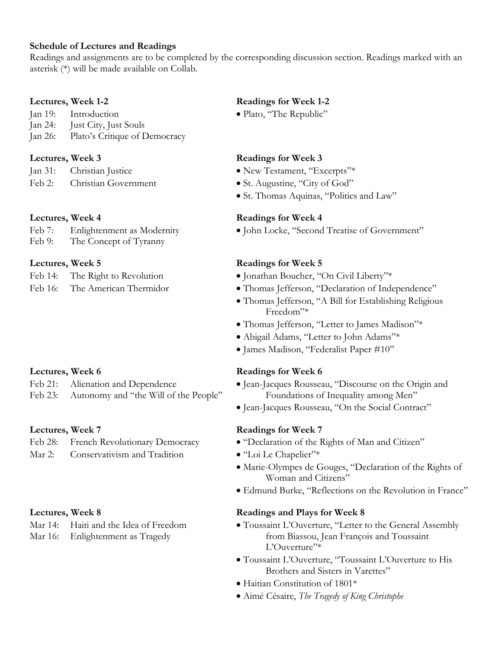### **Schedule of Lectures and Readings**

Readings and assignments are to be completed by the corresponding discussion section. Readings marked with an asterisk (\*) will be made available on Collab.

- Jan 19: Introduction Plato, "The Republic"
- Jan 24: Just City, Just Souls
- Jan 26: Plato's Critique of Democracy

- 
- 

| Feb 7:                    | Enlightenment as Modernity |               |
|---------------------------|----------------------------|---------------|
| $\mathbf{r}$ $\mathbf{r}$ | $\overline{ }$             | $\sim$ $\sim$ |

Feb 9: The Concept of Tyranny

- 
- 

- 
- Feb 23: Autonomy and "the Will of the People" Foundations of Inequality among Men"

- 
- Mar 2: Conservativism and Tradition "Loi Le Chapelier"\*

## **Lectures, Week 1-2 Readings for Week 1-2**

### **Lectures, Week 3 Readings for Week 3**

- Jan 31: Christian Justice New Testament, "Excerpts"\*
- Feb 2: Christian Government St. Augustine, "City of God"
	- St. Thomas Aquinas, "Politics and Law"

### **Lectures, Week 4 Readings for Week 4**

• John Locke, "Second Treatise of Government"

### **Lectures, Week 5 Readings for Week 5**

- Feb 14: The Right to Revolution Jonathan Boucher, "On Civil Liberty"\*
- Feb 16: The American Thermidor Thomas Jefferson, "Declaration of Independence"
	- Thomas Jefferson, "A Bill for Establishing Religious Freedom"\*
	- Thomas Jefferson, "Letter to James Madison"\*
	- Abigail Adams, "Letter to John Adams"\*
	- James Madison, "Federalist Paper #10"

### **Lectures, Week 6 Readings for Week 6**

- Feb 21: Alienation and Dependence Jean-Jacques Rousseau, "Discourse on the Origin and
	- Jean-Jacques Rousseau, "On the Social Contract"

## **Lectures, Week 7 Readings for Week 7**

- Feb 28: French Revolutionary Democracy "Declaration of the Rights of Man and Citizen"
	-
	- Marie-Olympes de Gouges, "Declaration of the Rights of Woman and Citizens"
	- Edmund Burke, "Reflections on the Revolution in France"

### **Lectures, Week 8 Readings and Plays for Week 8**

- Mar 14: Haiti and the Idea of Freedom Toussaint L'Ouverture, "Letter to the General Assembly Mar 16: Enlightenment as Tragedy from Biassou, Jean François and Toussaint L'Ouverture"\*
	- Toussaint L'Ouverture, "Toussaint L'Ouverture to His Brothers and Sisters in Varettes"
	- Haitian Constitution of 1801\*
	- Aimé Césaire, *The Tragedy of King Christophe*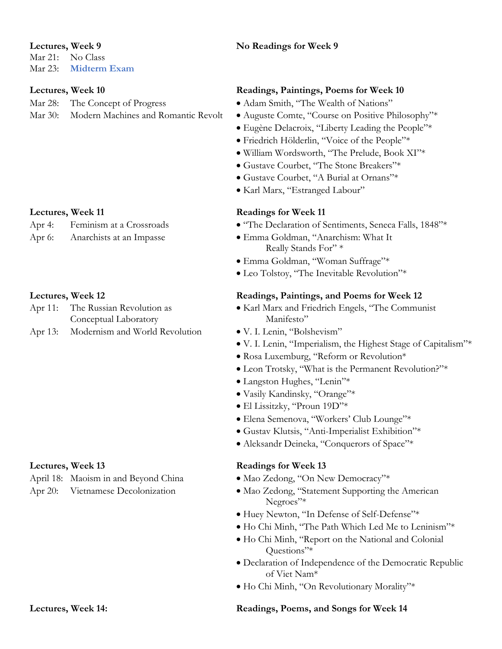Mar 21: No Class Mar 23: **Midterm Exam**

Mar 28: The Concept of Progress • Adam Smith, "The Wealth of Nations"

- Conceptual Laboratory Manifesto"
- Apr 13: Modernism and World Revolution V. I. Lenin, "Bolshevism"

April 18: Maoism in and Beyond China • Mao Zedong, "On New Democracy"\*

# **Lectures, Week 9 No Readings for Week 9**

# **Lectures, Week 10 Readings, Paintings, Poems for Week 10**

- 
- Mar 30: Modern Machines and Romantic Revolt Auguste Comte, "Course on Positive Philosophy"\*
	- Eugène Delacroix, "Liberty Leading the People"\*
	- Friedrich Hölderlin, "Voice of the People"\*
	- William Wordsworth, "The Prelude, Book XI"\*
	- Gustave Courbet, "The Stone Breakers"\*
	- Gustave Courbet, "A Burial at Ornans"\*
	- Karl Marx, "Estranged Labour"

# Lectures, Week 11 **Readings for Week 11**

- "The Declaration of Sentiments, Seneca Falls, 1848"\*
- Apr 6: Anarchists at an Impasse Emma Goldman, "Anarchism: What It Really Stands For" \*
	- Emma Goldman, "Woman Suffrage"\*
	- Leo Tolstoy, "The Inevitable Revolution"\*

## **Lectures, Week 12 Readings, Paintings, and Poems for Week 12**

- Apr 11: The Russian Revolution as Karl Marx and Friedrich Engels, "The Communist"
	-
	- V. I. Lenin, "Imperialism, the Highest Stage of Capitalism"\*
	- Rosa Luxemburg, "Reform or Revolution\*
	- Leon Trotsky, "What is the Permanent Revolution?"\*
	- Langston Hughes, "Lenin"\*
	- Vasily Kandinsky, "Orange"\*
	- El Lissitzky, "Proun 19D"\*
	- Elena Semenova, "Workers' Club Lounge"\*
	- Gustav Klutsis, "Anti-Imperialist Exhibition"\*
	- Aleksandr Deineka, "Conquerors of Space"\*

# **Lectures, Week 13 Readings for Week 13**

- 
- Apr 20: Vietnamese Decolonization Mao Zedong, "Statement Supporting the American Negroes"\*
	- Huey Newton, "In Defense of Self-Defense"\*
	- Ho Chi Minh, "The Path Which Led Me to Leninism"\*
	- Ho Chi Minh, "Report on the National and Colonial Questions"\*
	- Declaration of Independence of the Democratic Republic of Viet Nam\*
	- Ho Chi Minh, "On Revolutionary Morality"\*

# **Lectures, Week 14: Readings, Poems, and Songs for Week 14**